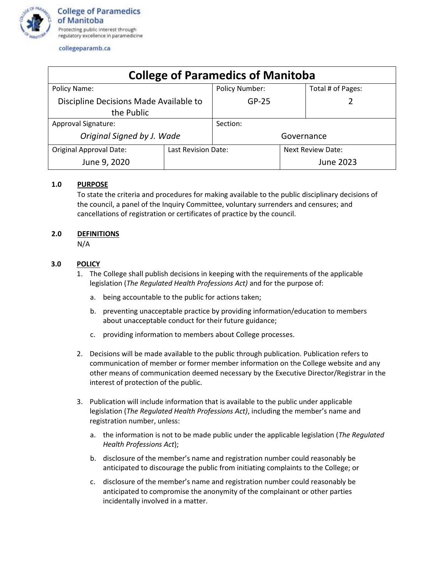

#### collegeparamb.ca

| <b>College of Paramedics of Manitoba</b>             |                     |                |                          |                   |
|------------------------------------------------------|---------------------|----------------|--------------------------|-------------------|
| Policy Name:                                         |                     | Policy Number: |                          | Total # of Pages: |
| Discipline Decisions Made Available to<br>the Public |                     | $GP-25$        |                          |                   |
| Approval Signature:                                  |                     | Section:       |                          |                   |
| Original Signed by J. Wade                           |                     | Governance     |                          |                   |
| <b>Original Approval Date:</b>                       | Last Revision Date: |                | <b>Next Review Date:</b> |                   |
| June 9, 2020                                         |                     |                |                          | June 2023         |

## **1.0 PURPOSE**

To state the criteria and procedures for making available to the public disciplinary decisions of the council, a panel of the Inquiry Committee, voluntary surrenders and censures; and cancellations of registration or certificates of practice by the council.

## **2.0 DEFINITIONS**

N/A

# **3.0 POLICY**

- 1. The College shall publish decisions in keeping with the requirements of the applicable legislation (*The Regulated Health Professions Act)* and for the purpose of:
	- a. being accountable to the public for actions taken;
	- b. preventing unacceptable practice by providing information/education to members about unacceptable conduct for their future guidance;
	- c. providing information to members about College processes.
- 2. Decisions will be made available to the public through publication. Publication refers to communication of member or former member information on the College website and any other means of communication deemed necessary by the Executive Director/Registrar in the interest of protection of the public.
- 3. Publication will include information that is available to the public under applicable legislation (*The Regulated Health Professions Act)*, including the member's name and registration number, unless:
	- a. the information is not to be made public under the applicable legislation (*The Regulated Health Professions Act*);
	- b. disclosure of the member's name and registration number could reasonably be anticipated to discourage the public from initiating complaints to the College; or
	- c. disclosure of the member's name and registration number could reasonably be anticipated to compromise the anonymity of the complainant or other parties incidentally involved in a matter.